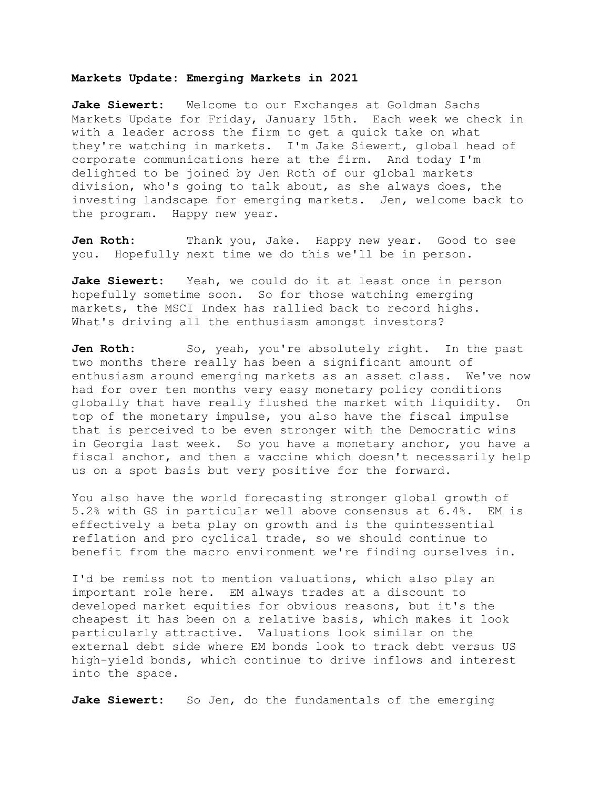## **Markets Update: Emerging Markets in 2021**

**Jake Siewert:** Welcome to our Exchanges at Goldman Sachs Markets Update for Friday, January 15th. Each week we check in with a leader across the firm to get a quick take on what they're watching in markets. I'm Jake Siewert, global head of corporate communications here at the firm. And today I'm delighted to be joined by Jen Roth of our global markets division, who's going to talk about, as she always does, the investing landscape for emerging markets. Jen, welcome back to the program. Happy new year.

Jen Roth: Thank you, Jake. Happy new year. Good to see you. Hopefully next time we do this we'll be in person.

**Jake Siewert:** Yeah, we could do it at least once in person hopefully sometime soon. So for those watching emerging markets, the MSCI Index has rallied back to record highs. What's driving all the enthusiasm amongst investors?

Jen Roth: So, yeah, you're absolutely right. In the past two months there really has been a significant amount of enthusiasm around emerging markets as an asset class. We've now had for over ten months very easy monetary policy conditions globally that have really flushed the market with liquidity. On top of the monetary impulse, you also have the fiscal impulse that is perceived to be even stronger with the Democratic wins in Georgia last week. So you have a monetary anchor, you have a fiscal anchor, and then a vaccine which doesn't necessarily help us on a spot basis but very positive for the forward.

You also have the world forecasting stronger global growth of 5.2% with GS in particular well above consensus at 6.4%. EM is effectively a beta play on growth and is the quintessential reflation and pro cyclical trade, so we should continue to benefit from the macro environment we're finding ourselves in.

I'd be remiss not to mention valuations, which also play an important role here. EM always trades at a discount to developed market equities for obvious reasons, but it's the cheapest it has been on a relative basis, which makes it look particularly attractive. Valuations look similar on the external debt side where EM bonds look to track debt versus US high-yield bonds, which continue to drive inflows and interest into the space.

**Jake Siewert:** So Jen, do the fundamentals of the emerging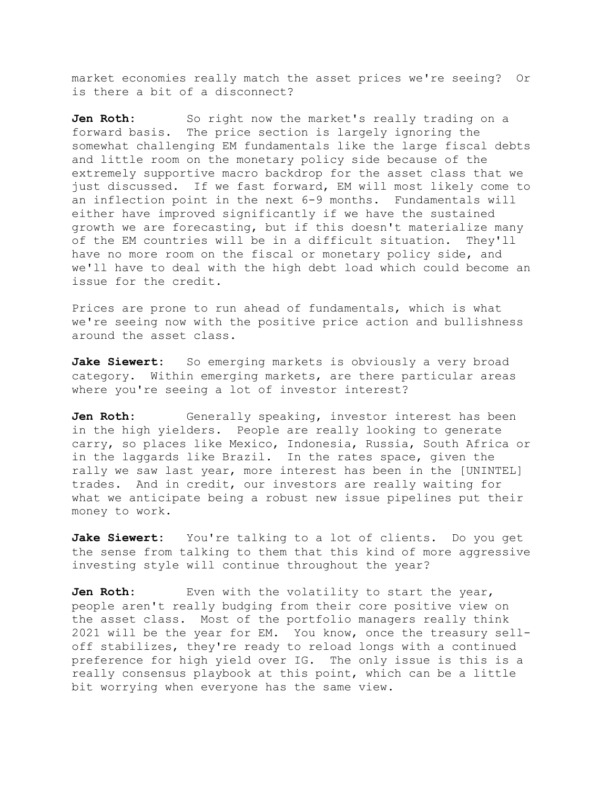market economies really match the asset prices we're seeing? Or is there a bit of a disconnect?

Jen Roth: So right now the market's really trading on a forward basis. The price section is largely ignoring the somewhat challenging EM fundamentals like the large fiscal debts and little room on the monetary policy side because of the extremely supportive macro backdrop for the asset class that we just discussed. If we fast forward, EM will most likely come to an inflection point in the next 6-9 months. Fundamentals will either have improved significantly if we have the sustained growth we are forecasting, but if this doesn't materialize many of the EM countries will be in a difficult situation. They'll have no more room on the fiscal or monetary policy side, and we'll have to deal with the high debt load which could become an issue for the credit.

Prices are prone to run ahead of fundamentals, which is what we're seeing now with the positive price action and bullishness around the asset class.

Jake Siewert: So emerging markets is obviously a very broad category. Within emerging markets, are there particular areas where you're seeing a lot of investor interest?

**Jen Roth:** Generally speaking, investor interest has been in the high yielders. People are really looking to generate carry, so places like Mexico, Indonesia, Russia, South Africa or in the laggards like Brazil. In the rates space, given the rally we saw last year, more interest has been in the [UNINTEL] trades. And in credit, our investors are really waiting for what we anticipate being a robust new issue pipelines put their money to work.

**Jake Siewert:** You're talking to a lot of clients. Do you get the sense from talking to them that this kind of more aggressive investing style will continue throughout the year?

Jen Roth: Even with the volatility to start the year, people aren't really budging from their core positive view on the asset class. Most of the portfolio managers really think 2021 will be the year for EM. You know, once the treasury selloff stabilizes, they're ready to reload longs with a continued preference for high yield over IG. The only issue is this is a really consensus playbook at this point, which can be a little bit worrying when everyone has the same view.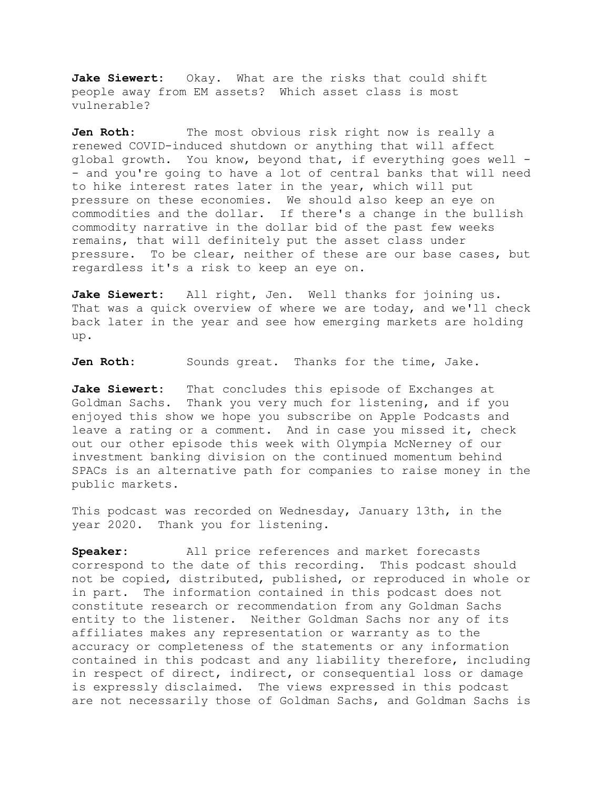**Jake Siewert:** Okay. What are the risks that could shift people away from EM assets? Which asset class is most vulnerable?

**Jen Roth:** The most obvious risk right now is really a renewed COVID-induced shutdown or anything that will affect global growth. You know, beyond that, if everything goes well - - and you're going to have a lot of central banks that will need to hike interest rates later in the year, which will put pressure on these economies. We should also keep an eye on commodities and the dollar. If there's a change in the bullish commodity narrative in the dollar bid of the past few weeks remains, that will definitely put the asset class under pressure. To be clear, neither of these are our base cases, but regardless it's a risk to keep an eye on.

**Jake Siewert:** All right, Jen. Well thanks for joining us. That was a quick overview of where we are today, and we'll check back later in the year and see how emerging markets are holding up.

Jen Roth: Sounds great. Thanks for the time, Jake.

**Jake Siewert:** That concludes this episode of Exchanges at Goldman Sachs. Thank you very much for listening, and if you enjoyed this show we hope you subscribe on Apple Podcasts and leave a rating or a comment. And in case you missed it, check out our other episode this week with Olympia McNerney of our investment banking division on the continued momentum behind SPACs is an alternative path for companies to raise money in the public markets.

This podcast was recorded on Wednesday, January 13th, in the year 2020. Thank you for listening.

**Speaker:** All price references and market forecasts correspond to the date of this recording. This podcast should not be copied, distributed, published, or reproduced in whole or in part. The information contained in this podcast does not constitute research or recommendation from any Goldman Sachs entity to the listener. Neither Goldman Sachs nor any of its affiliates makes any representation or warranty as to the accuracy or completeness of the statements or any information contained in this podcast and any liability therefore, including in respect of direct, indirect, or consequential loss or damage is expressly disclaimed. The views expressed in this podcast are not necessarily those of Goldman Sachs, and Goldman Sachs is